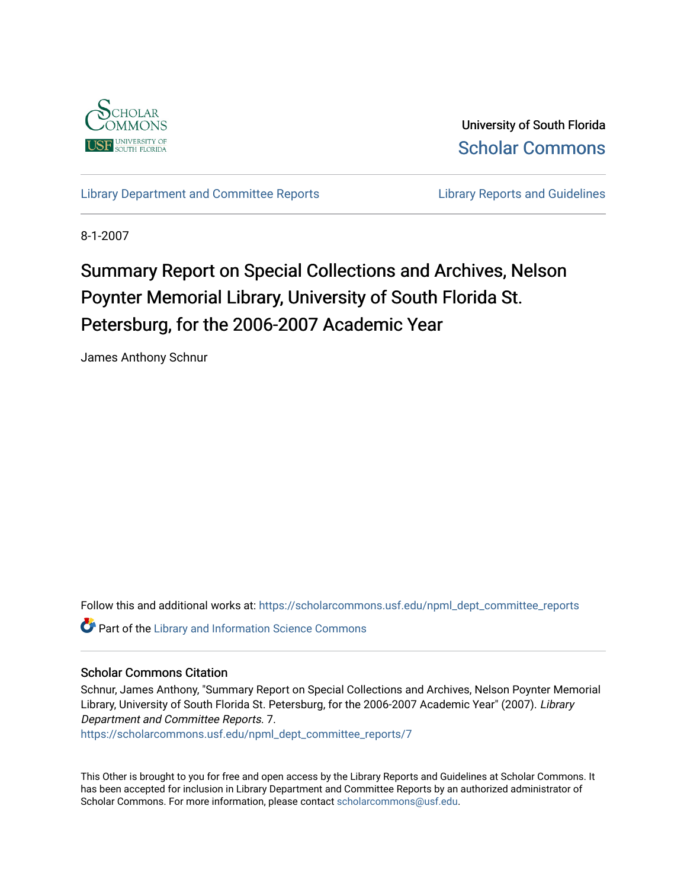

University of South Florida [Scholar Commons](https://scholarcommons.usf.edu/) 

[Library Department and Committee Reports](https://scholarcommons.usf.edu/npml_dept_committee_reports) **Library Reports and Guidelines** 

8-1-2007

# Summary Report on Special Collections and Archives, Nelson Poynter Memorial Library, University of South Florida St. Petersburg, for the 2006-2007 Academic Year

James Anthony Schnur

Follow this and additional works at: [https://scholarcommons.usf.edu/npml\\_dept\\_committee\\_reports](https://scholarcommons.usf.edu/npml_dept_committee_reports?utm_source=scholarcommons.usf.edu%2Fnpml_dept_committee_reports%2F7&utm_medium=PDF&utm_campaign=PDFCoverPages)

**Part of the Library and Information Science Commons** 

#### Scholar Commons Citation

Schnur, James Anthony, "Summary Report on Special Collections and Archives, Nelson Poynter Memorial Library, University of South Florida St. Petersburg, for the 2006-2007 Academic Year" (2007). Library Department and Committee Reports. 7.

[https://scholarcommons.usf.edu/npml\\_dept\\_committee\\_reports/7](https://scholarcommons.usf.edu/npml_dept_committee_reports/7?utm_source=scholarcommons.usf.edu%2Fnpml_dept_committee_reports%2F7&utm_medium=PDF&utm_campaign=PDFCoverPages)

This Other is brought to you for free and open access by the Library Reports and Guidelines at Scholar Commons. It has been accepted for inclusion in Library Department and Committee Reports by an authorized administrator of Scholar Commons. For more information, please contact [scholarcommons@usf.edu](mailto:scholarcommons@usf.edu).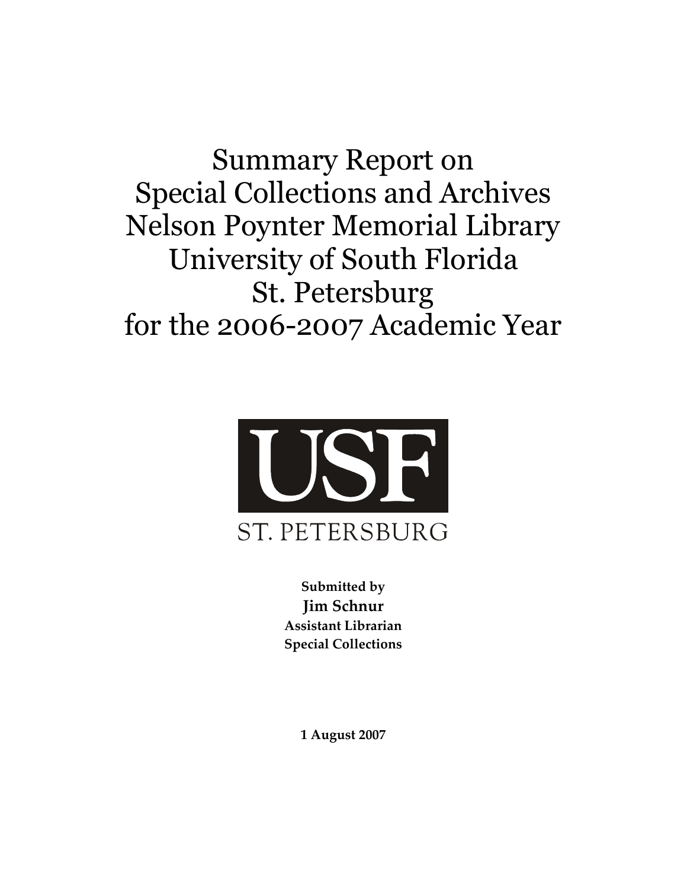**Summary Report on Special Collections and Archives Nelson Poynter Memorial Library** University of South Florida **St. Petersburg** for the 2006-2007 Academic Year



Submitted by **Iim Schnur** Assistant Librarian **Special Collections** 

1 August 2007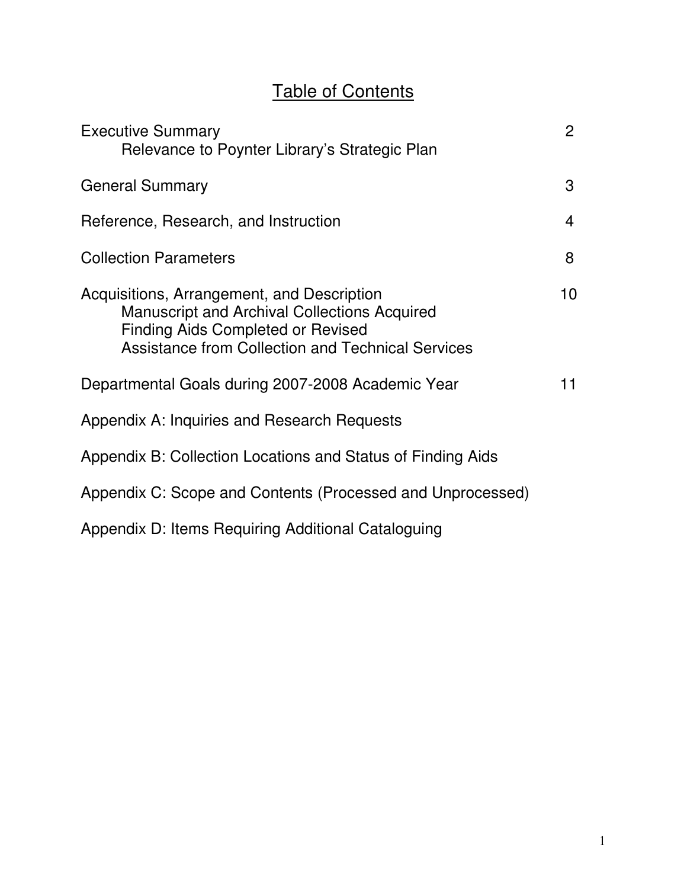# Table of Contents

| <b>Executive Summary</b><br>Relevance to Poynter Library's Strategic Plan                                                                                                                                 | $\overline{2}$ |
|-----------------------------------------------------------------------------------------------------------------------------------------------------------------------------------------------------------|----------------|
| <b>General Summary</b>                                                                                                                                                                                    | 3              |
| Reference, Research, and Instruction                                                                                                                                                                      | $\overline{4}$ |
| <b>Collection Parameters</b>                                                                                                                                                                              | 8              |
| Acquisitions, Arrangement, and Description<br><b>Manuscript and Archival Collections Acquired</b><br><b>Finding Aids Completed or Revised</b><br><b>Assistance from Collection and Technical Services</b> | 10             |
| Departmental Goals during 2007-2008 Academic Year                                                                                                                                                         | 11             |
| Appendix A: Inquiries and Research Requests                                                                                                                                                               |                |
| Appendix B: Collection Locations and Status of Finding Aids                                                                                                                                               |                |
| Appendix C: Scope and Contents (Processed and Unprocessed)                                                                                                                                                |                |
| Appendix D: Items Requiring Additional Cataloguing                                                                                                                                                        |                |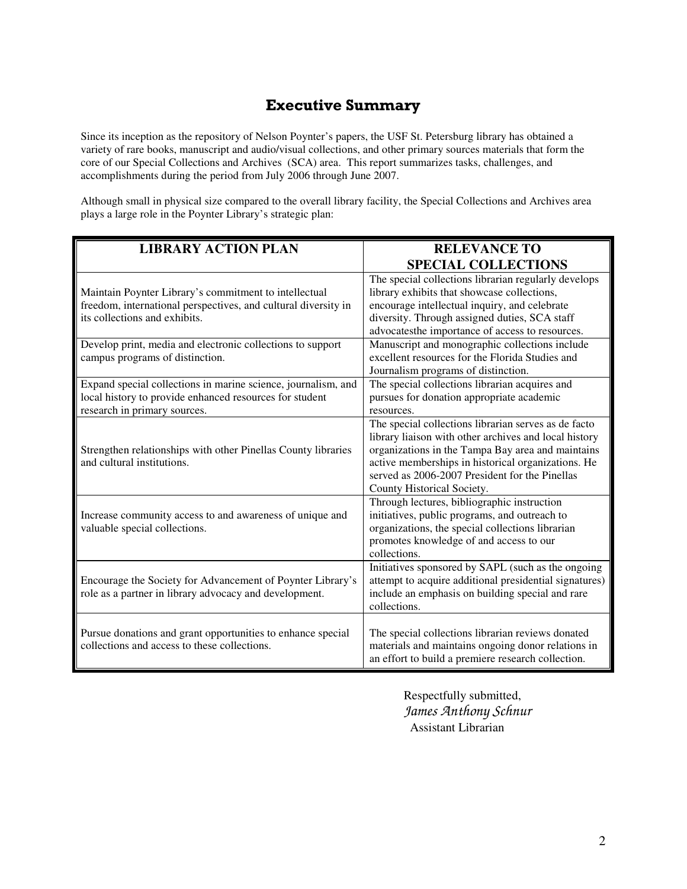## **Executive Summary**

Since its inception as the repository of Nelson Poynter's papers, the USF St. Petersburg library has obtained a variety of rare books, manuscript and audio/visual collections, and other primary sources materials that form the core of our Special Collections and Archives (SCA) area. This report summarizes tasks, challenges, and accomplishments during the period from July 2006 through June 2007.

Although small in physical size compared to the overall library facility, the Special Collections and Archives area plays a large role in the Poynter Library's strategic plan:

| <b>LIBRARY ACTION PLAN</b>                                                                                                                               | <b>RELEVANCE TO</b><br><b>SPECIAL COLLECTIONS</b>                                                                                                                                                                                                                                                        |
|----------------------------------------------------------------------------------------------------------------------------------------------------------|----------------------------------------------------------------------------------------------------------------------------------------------------------------------------------------------------------------------------------------------------------------------------------------------------------|
| Maintain Poynter Library's commitment to intellectual<br>freedom, international perspectives, and cultural diversity in<br>its collections and exhibits. | The special collections librarian regularly develops<br>library exhibits that showcase collections,<br>encourage intellectual inquiry, and celebrate<br>diversity. Through assigned duties, SCA staff<br>advocatesthe importance of access to resources.                                                 |
| Develop print, media and electronic collections to support<br>campus programs of distinction.                                                            | Manuscript and monographic collections include<br>excellent resources for the Florida Studies and<br>Journalism programs of distinction.                                                                                                                                                                 |
| Expand special collections in marine science, journalism, and<br>local history to provide enhanced resources for student<br>research in primary sources. | The special collections librarian acquires and<br>pursues for donation appropriate academic<br>resources.                                                                                                                                                                                                |
| Strengthen relationships with other Pinellas County libraries<br>and cultural institutions.                                                              | The special collections librarian serves as de facto<br>library liaison with other archives and local history<br>organizations in the Tampa Bay area and maintains<br>active memberships in historical organizations. He<br>served as 2006-2007 President for the Pinellas<br>County Historical Society. |
| Increase community access to and awareness of unique and<br>valuable special collections.                                                                | Through lectures, bibliographic instruction<br>initiatives, public programs, and outreach to<br>organizations, the special collections librarian<br>promotes knowledge of and access to our<br>collections.                                                                                              |
| Encourage the Society for Advancement of Poynter Library's<br>role as a partner in library advocacy and development.                                     | Initiatives sponsored by SAPL (such as the ongoing<br>attempt to acquire additional presidential signatures)<br>include an emphasis on building special and rare<br>collections.                                                                                                                         |
| Pursue donations and grant opportunities to enhance special<br>collections and access to these collections.                                              | The special collections librarian reviews donated<br>materials and maintains ongoing donor relations in<br>an effort to build a premiere research collection.                                                                                                                                            |

Respectfully submitted, *James Anthony Schnur* Assistant Librarian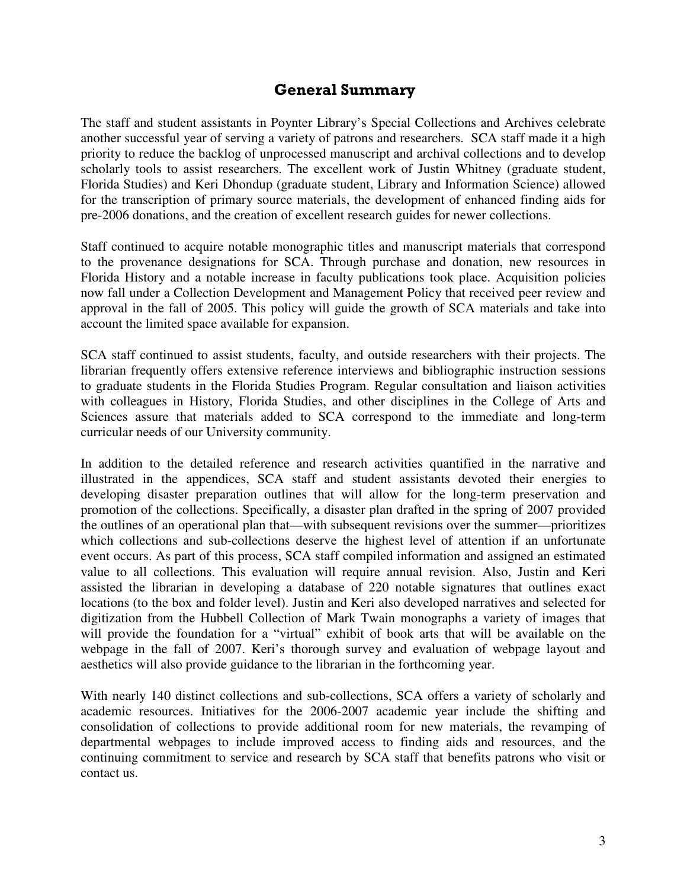## **General Summary**

The staff and student assistants in Poynter Library's Special Collections and Archives celebrate another successful year of serving a variety of patrons and researchers. SCA staff made it a high priority to reduce the backlog of unprocessed manuscript and archival collections and to develop scholarly tools to assist researchers. The excellent work of Justin Whitney (graduate student, Florida Studies) and Keri Dhondup (graduate student, Library and Information Science) allowed for the transcription of primary source materials, the development of enhanced finding aids for pre-2006 donations, and the creation of excellent research guides for newer collections.

Staff continued to acquire notable monographic titles and manuscript materials that correspond to the provenance designations for SCA. Through purchase and donation, new resources in Florida History and a notable increase in faculty publications took place. Acquisition policies now fall under a Collection Development and Management Policy that received peer review and approval in the fall of 2005. This policy will guide the growth of SCA materials and take into account the limited space available for expansion.

SCA staff continued to assist students, faculty, and outside researchers with their projects. The librarian frequently offers extensive reference interviews and bibliographic instruction sessions to graduate students in the Florida Studies Program. Regular consultation and liaison activities with colleagues in History, Florida Studies, and other disciplines in the College of Arts and Sciences assure that materials added to SCA correspond to the immediate and long-term curricular needs of our University community.

In addition to the detailed reference and research activities quantified in the narrative and illustrated in the appendices, SCA staff and student assistants devoted their energies to developing disaster preparation outlines that will allow for the long-term preservation and promotion of the collections. Specifically, a disaster plan drafted in the spring of 2007 provided the outlines of an operational plan that—with subsequent revisions over the summer—prioritizes which collections and sub-collections deserve the highest level of attention if an unfortunate event occurs. As part of this process, SCA staff compiled information and assigned an estimated value to all collections. This evaluation will require annual revision. Also, Justin and Keri assisted the librarian in developing a database of 220 notable signatures that outlines exact locations (to the box and folder level). Justin and Keri also developed narratives and selected for digitization from the Hubbell Collection of Mark Twain monographs a variety of images that will provide the foundation for a "virtual" exhibit of book arts that will be available on the webpage in the fall of 2007. Keri's thorough survey and evaluation of webpage layout and aesthetics will also provide guidance to the librarian in the forthcoming year.

With nearly 140 distinct collections and sub-collections, SCA offers a variety of scholarly and academic resources. Initiatives for the 2006-2007 academic year include the shifting and consolidation of collections to provide additional room for new materials, the revamping of departmental webpages to include improved access to finding aids and resources, and the continuing commitment to service and research by SCA staff that benefits patrons who visit or contact us.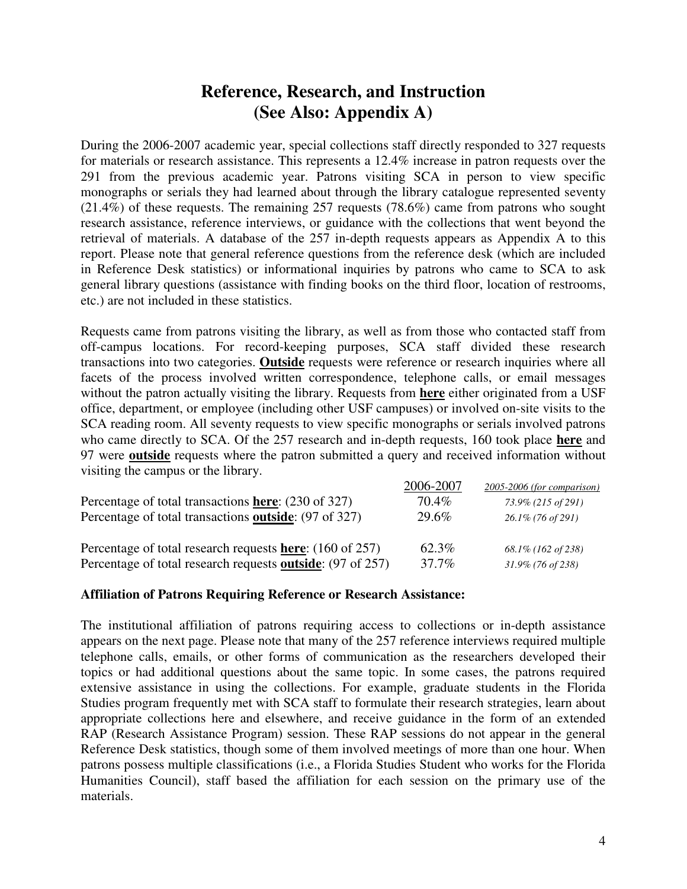## **Reference, Research, and Instruction (See Also: Appendix A)**

During the 2006-2007 academic year, special collections staff directly responded to 327 requests for materials or research assistance. This represents a 12.4% increase in patron requests over the 291 from the previous academic year. Patrons visiting SCA in person to view specific monographs or serials they had learned about through the library catalogue represented seventy (21.4%) of these requests. The remaining 257 requests (78.6%) came from patrons who sought research assistance, reference interviews, or guidance with the collections that went beyond the retrieval of materials. A database of the 257 in-depth requests appears as Appendix A to this report. Please note that general reference questions from the reference desk (which are included in Reference Desk statistics) or informational inquiries by patrons who came to SCA to ask general library questions (assistance with finding books on the third floor, location of restrooms, etc.) are not included in these statistics.

Requests came from patrons visiting the library, as well as from those who contacted staff from off-campus locations. For record-keeping purposes, SCA staff divided these research transactions into two categories. **Outside** requests were reference or research inquiries where all facets of the process involved written correspondence, telephone calls, or email messages without the patron actually visiting the library. Requests from **here** either originated from a USF office, department, or employee (including other USF campuses) or involved on-site visits to the SCA reading room. All seventy requests to view specific monographs or serials involved patrons who came directly to SCA. Of the 257 research and in-depth requests, 160 took place **here** and 97 were **outside** requests where the patron submitted a query and received information without visiting the campus or the library.

|                                                                    | 2006-2007 | 2005-2006 (for comparison) |
|--------------------------------------------------------------------|-----------|----------------------------|
| Percentage of total transactions here: (230 of 327)                | $70.4\%$  | 73.9% (215 of 291)         |
| Percentage of total transactions outside: (97 of 327)              | 29.6%     | $26.1\%$ (76 of 291)       |
| Percentage of total research requests here: (160 of 257)           | 62.3%     | $68.1\%$ (162 of 238)      |
| Percentage of total research requests <b>outside</b> : (97 of 257) | 37.7%     | $31.9\%$ (76 of 238)       |

#### **Affiliation of Patrons Requiring Reference or Research Assistance:**

The institutional affiliation of patrons requiring access to collections or in-depth assistance appears on the next page. Please note that many of the 257 reference interviews required multiple telephone calls, emails, or other forms of communication as the researchers developed their topics or had additional questions about the same topic. In some cases, the patrons required extensive assistance in using the collections. For example, graduate students in the Florida Studies program frequently met with SCA staff to formulate their research strategies, learn about appropriate collections here and elsewhere, and receive guidance in the form of an extended RAP (Research Assistance Program) session. These RAP sessions do not appear in the general Reference Desk statistics, though some of them involved meetings of more than one hour. When patrons possess multiple classifications (i.e., a Florida Studies Student who works for the Florida Humanities Council), staff based the affiliation for each session on the primary use of the materials.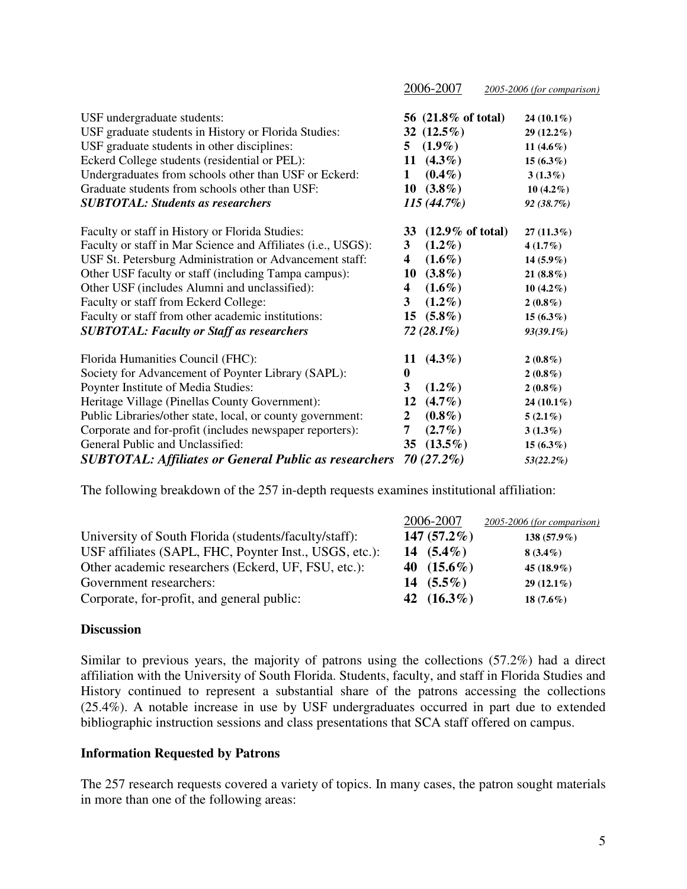|                                                              |                  | 2006-2007                   | 2005-2006 (for comparison) |
|--------------------------------------------------------------|------------------|-----------------------------|----------------------------|
| USF undergraduate students:                                  |                  | 56 (21.8% of total)         | 24 $(10.1\%)$              |
| USF graduate students in History or Florida Studies:         |                  | 32 $(12.5\%)$               | $29(12.2\%)$               |
| USF graduate students in other disciplines:                  | 5                | $(1.9\%)$                   | 11 $(4.6\%)$               |
| Eckerd College students (residential or PEL):                |                  | 11 $(4.3\%)$                | $15(6.3\%)$                |
| Undergraduates from schools other than USF or Eckerd:        | 1                | $(0.4\%)$                   | $3(1.3\%)$                 |
| Graduate students from schools other than USF:               | 10               | $(3.8\%)$                   | 10 $(4.2\%)$               |
| <b>SUBTOTAL: Students as researchers</b>                     |                  | $115(44.7\%)$               | 92 (38.7%)                 |
| Faculty or staff in History or Florida Studies:              | 33               | $(12.9\% \text{ of total})$ | $27(11.3\%)$               |
| Faculty or staff in Mar Science and Affiliates (i.e., USGS): | 3                | $(1.2\%)$                   | $4(1.7\%)$                 |
| USF St. Petersburg Administration or Advancement staff:      | 4                | $(1.6\%)$                   | $14(5.9\%)$                |
| Other USF faculty or staff (including Tampa campus):         | 10               | $(3.8\%)$                   | 21 $(8.8\%)$               |
| Other USF (includes Alumni and unclassified):                | 4                | $(1.6\%)$                   | $10(4.2\%)$                |
| Faculty or staff from Eckerd College:                        | 3                | $(1.2\%)$                   | $2(0.8\%)$                 |
| Faculty or staff from other academic institutions:           | 15               | $(5.8\%)$                   | $15(6.3\%)$                |
| <b>SUBTOTAL: Faculty or Staff as researchers</b>             |                  | $72(28.1\%)$                | $93(39.1\%)$               |
| Florida Humanities Council (FHC):                            | 11               | $(4.3\%)$                   | $2(0.8\%)$                 |
| Society for Advancement of Poynter Library (SAPL):           | $\bf{0}$         |                             | $2(0.8\%)$                 |
| Poynter Institute of Media Studies:                          | 3                | $(1.2\%)$                   | $2(0.8\%)$                 |
| Heritage Village (Pinellas County Government):               | 12               | $(4.7\%)$                   | 24 (10.1%)                 |
| Public Libraries/other state, local, or county government:   | $\boldsymbol{2}$ | $(0.8\%)$                   | $5(2.1\%)$                 |
| Corporate and for-profit (includes newspaper reporters):     | 7                | $(2.7\%)$                   | $3(1.3\%)$                 |
| General Public and Unclassified:                             | 35               | $(13.5\%)$                  | $15(6.3\%)$                |
| <b>SUBTOTAL: Affiliates or General Public as researchers</b> |                  | $70(27.2\%)$                | 53(22.2%)                  |

The following breakdown of the 257 in-depth requests examines institutional affiliation:

|                                                        | 2006-2007      | 2005-2006 (for comparison) |
|--------------------------------------------------------|----------------|----------------------------|
| University of South Florida (students/faculty/staff):  | 147 $(57.2\%)$ | $138(57.9\%)$              |
| USF affiliates (SAPL, FHC, Poynter Inst., USGS, etc.): | 14 $(5.4\%)$   | $8(3.4\%)$                 |
| Other academic researchers (Eckerd, UF, FSU, etc.):    | 40 $(15.6\%)$  | 45 $(18.9\%)$              |
| Government researchers:                                | 14 $(5.5\%)$   | $29(12.1\%)$               |
| Corporate, for-profit, and general public:             | 42 $(16.3\%)$  | 18 $(7.6\%)$               |

#### **Discussion**

Similar to previous years, the majority of patrons using the collections (57.2%) had a direct affiliation with the University of South Florida. Students, faculty, and staff in Florida Studies and History continued to represent a substantial share of the patrons accessing the collections (25.4%). A notable increase in use by USF undergraduates occurred in part due to extended bibliographic instruction sessions and class presentations that SCA staff offered on campus.

#### **Information Requested by Patrons**

The 257 research requests covered a variety of topics. In many cases, the patron sought materials in more than one of the following areas: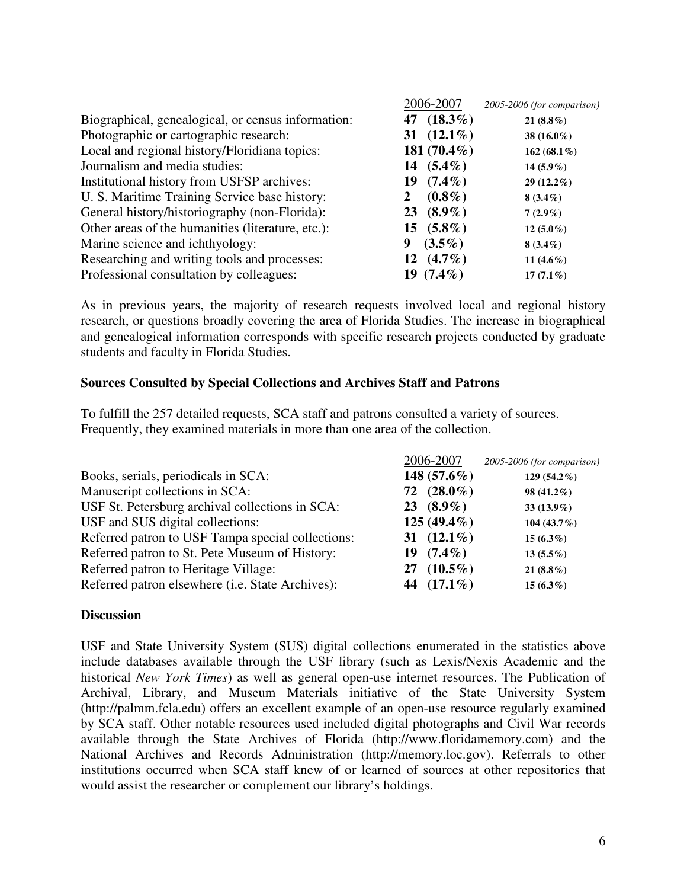|                                                    | 2006-2007       | 2005-2006 (for comparison) |
|----------------------------------------------------|-----------------|----------------------------|
| Biographical, genealogical, or census information: | 47 $(18.3\%)$   | $21(8.8\%)$                |
| Photographic or cartographic research:             | 31 $(12.1\%)$   | 38 $(16.0\%)$              |
| Local and regional history/Floridiana topics:      | 181 $(70.4\%)$  | 162 (68.1%)                |
| Journalism and media studies:                      | 14 $(5.4\%)$    | $14(5.9\%)$                |
| Institutional history from USFSP archives:         | $(7.4\%)$<br>19 | $29(12.2\%)$               |
| U. S. Maritime Training Service base history:      | $(0.8\%)$       | $8(3.4\%)$                 |
| General history/historiography (non-Florida):      | 23 $(8.9\%)$    | $7(2.9\%)$                 |
| Other areas of the humanities (literature, etc.):  | 15 $(5.8\%)$    | $12(5.0\%)$                |
| Marine science and ichthyology:                    | $(3.5\%)$<br>9  | $8(3.4\%)$                 |
| Researching and writing tools and processes:       | 12 $(4.7\%)$    | 11 $(4.6\%)$               |
| Professional consultation by colleagues:           | 19 $(7.4\%)$    | $17(7.1\%)$                |

As in previous years, the majority of research requests involved local and regional history research, or questions broadly covering the area of Florida Studies. The increase in biographical and genealogical information corresponds with specific research projects conducted by graduate students and faculty in Florida Studies.

### **Sources Consulted by Special Collections and Archives Staff and Patrons**

To fulfill the 257 detailed requests, SCA staff and patrons consulted a variety of sources. Frequently, they examined materials in more than one area of the collection.

|                                                   | 2006-2007      | 2005-2006 (for comparison) |
|---------------------------------------------------|----------------|----------------------------|
| Books, serials, periodicals in SCA:               | 148 $(57.6\%)$ | 129 (54.2%)                |
| Manuscript collections in SCA:                    | 72 $(28.0\%)$  | 98 (41.2%)                 |
| USF St. Petersburg archival collections in SCA:   | 23 $(8.9\%)$   | $33(13.9\%)$               |
| USF and SUS digital collections:                  | $125(49.4\%)$  | 104 (43.7%)                |
| Referred patron to USF Tampa special collections: | 31 $(12.1\%)$  | $15(6.3\%)$                |
| Referred patron to St. Pete Museum of History:    | $19(7.4\%)$    | $13(5.5\%)$                |
| Referred patron to Heritage Village:              | 27 $(10.5\%)$  | $21(8.8\%)$                |
| Referred patron elsewhere (i.e. State Archives):  | 44 $(17.1\%)$  | $15(6.3\%)$                |

#### **Discussion**

USF and State University System (SUS) digital collections enumerated in the statistics above include databases available through the USF library (such as Lexis/Nexis Academic and the historical *New York Times*) as well as general open-use internet resources. The Publication of Archival, Library, and Museum Materials initiative of the State University System (http://palmm.fcla.edu) offers an excellent example of an open-use resource regularly examined by SCA staff. Other notable resources used included digital photographs and Civil War records available through the State Archives of Florida (http://www.floridamemory.com) and the National Archives and Records Administration (http://memory.loc.gov). Referrals to other institutions occurred when SCA staff knew of or learned of sources at other repositories that would assist the researcher or complement our library's holdings.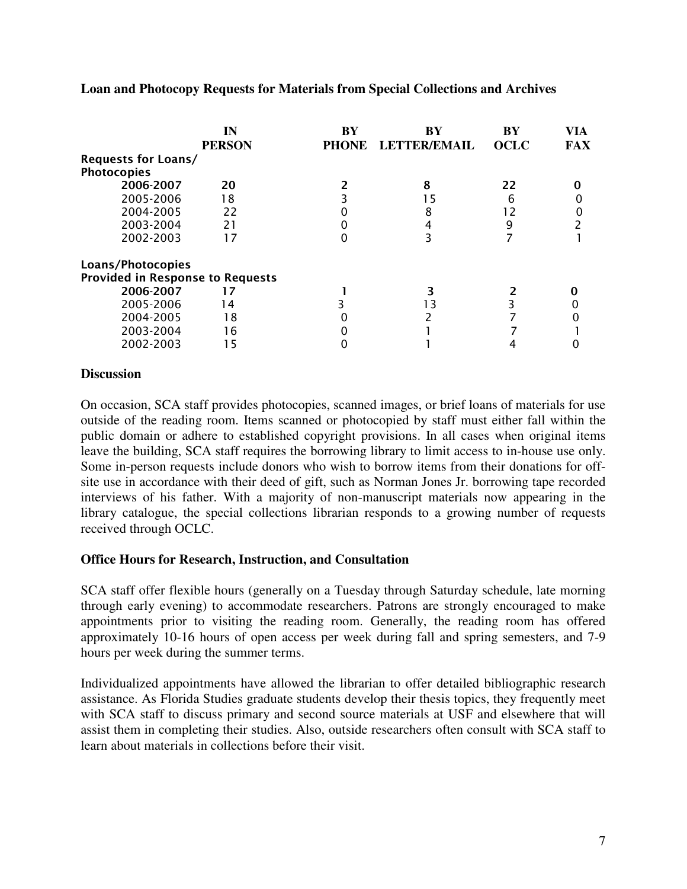|                                         | IN<br><b>PERSON</b> | <b>BY</b><br><b>PHONE</b> | <b>RY</b><br><b>LETTER/EMAIL</b> | BY<br><b>OCLC</b> | VIA<br><b>FAX</b> |
|-----------------------------------------|---------------------|---------------------------|----------------------------------|-------------------|-------------------|
| <b>Requests for Loans/</b>              |                     |                           |                                  |                   |                   |
| <b>Photocopies</b>                      |                     |                           |                                  |                   |                   |
| 2006-2007                               | 20                  |                           | 8                                | 22                |                   |
| 2005-2006                               | 18                  |                           |                                  | 6                 |                   |
| 2004-2005                               | 22                  |                           |                                  | 12                |                   |
| 2003-2004                               | 21                  |                           |                                  | 9                 |                   |
| 2002-2003                               | 17                  |                           |                                  |                   |                   |
| Loans/Photocopies                       |                     |                           |                                  |                   |                   |
| <b>Provided in Response to Requests</b> |                     |                           |                                  |                   |                   |
| 2006-2007                               | 17                  |                           |                                  |                   |                   |
| 2005-2006                               | 14                  |                           | 3                                |                   |                   |
| 2004-2005                               | 18                  |                           |                                  |                   |                   |
| 2003-2004                               | 16                  |                           |                                  |                   |                   |
| 2002-2003                               | 5                   |                           |                                  |                   |                   |

#### **Loan and Photocopy Requests for Materials from Special Collections and Archives**

#### **Discussion**

On occasion, SCA staff provides photocopies, scanned images, or brief loans of materials for use outside of the reading room. Items scanned or photocopied by staff must either fall within the public domain or adhere to established copyright provisions. In all cases when original items leave the building, SCA staff requires the borrowing library to limit access to in-house use only. Some in-person requests include donors who wish to borrow items from their donations for offsite use in accordance with their deed of gift, such as Norman Jones Jr. borrowing tape recorded interviews of his father. With a majority of non-manuscript materials now appearing in the library catalogue, the special collections librarian responds to a growing number of requests received through OCLC.

#### **Office Hours for Research, Instruction, and Consultation**

SCA staff offer flexible hours (generally on a Tuesday through Saturday schedule, late morning through early evening) to accommodate researchers. Patrons are strongly encouraged to make appointments prior to visiting the reading room. Generally, the reading room has offered approximately 10-16 hours of open access per week during fall and spring semesters, and 7-9 hours per week during the summer terms.

Individualized appointments have allowed the librarian to offer detailed bibliographic research assistance. As Florida Studies graduate students develop their thesis topics, they frequently meet with SCA staff to discuss primary and second source materials at USF and elsewhere that will assist them in completing their studies. Also, outside researchers often consult with SCA staff to learn about materials in collections before their visit.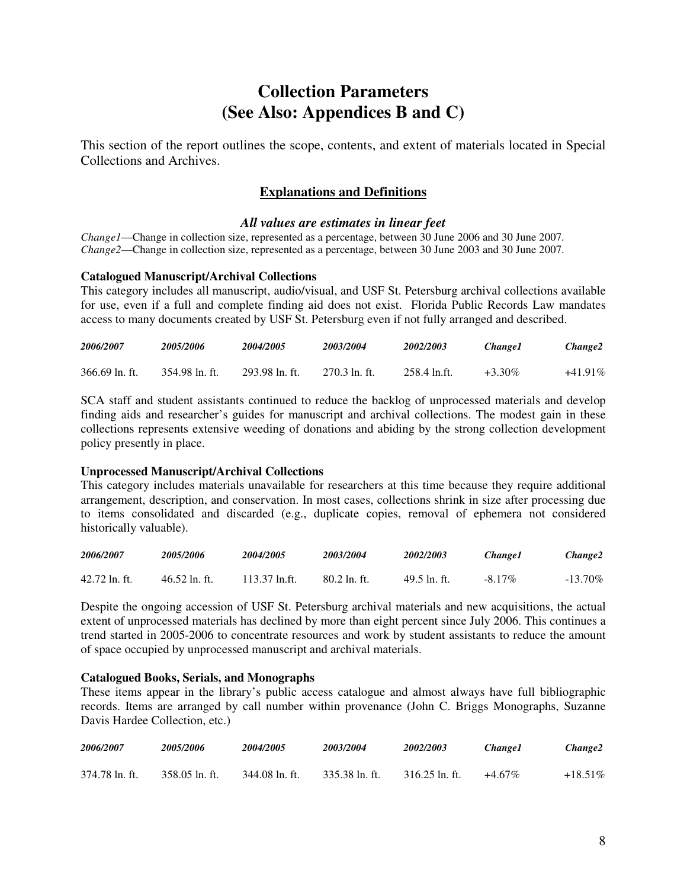## **Collection Parameters (See Also: Appendices B and C)**

This section of the report outlines the scope, contents, and extent of materials located in Special Collections and Archives.

### **Explanations and Definitions**

#### *All values are estimates in linear feet*

*Change1*—Change in collection size, represented as a percentage, between 30 June 2006 and 30 June 2007. *Change2*—Change in collection size, represented as a percentage, between 30 June 2003 and 30 June 2007.

#### **Catalogued Manuscript/Archival Collections**

This category includes all manuscript, audio/visual, and USF St. Petersburg archival collections available for use, even if a full and complete finding aid does not exist. Florida Public Records Law mandates access to many documents created by USF St. Petersburg even if not fully arranged and described.

| 2006/2007      | 2005/2006      | <i><b>2004/2005</b></i> | 2003/2004     | <i><b>2002/2003</b></i> | Change 1  | Change2    |
|----------------|----------------|-------------------------|---------------|-------------------------|-----------|------------|
| 366.69 ln. ft. | 354.98 ln. ft. | 293.98 ln. ft.          | 270.3 ln. ft. | -258.4 ln.ft.           | $+3.30\%$ | $+41.91\%$ |

SCA staff and student assistants continued to reduce the backlog of unprocessed materials and develop finding aids and researcher's guides for manuscript and archival collections. The modest gain in these collections represents extensive weeding of donations and abiding by the strong collection development policy presently in place.

#### **Unprocessed Manuscript/Archival Collections**

This category includes materials unavailable for researchers at this time because they require additional arrangement, description, and conservation. In most cases, collections shrink in size after processing due to items consolidated and discarded (e.g., duplicate copies, removal of ephemera not considered historically valuable).

| 2006/2007       | <i><b>2005/2006</b></i> | <i><b>2004/2005</b></i> | 2003/2004          | 2002/2003    | Change 1  | Change2    |
|-----------------|-------------------------|-------------------------|--------------------|--------------|-----------|------------|
| $42.72$ ln. ft. | $46.52$ ln. ft.         | $113.37$ ln.ft.         | $80.2 \ln f$ . ft. | 49.5 ln. ft. | $-8.17\%$ | $-13.70\%$ |

Despite the ongoing accession of USF St. Petersburg archival materials and new acquisitions, the actual extent of unprocessed materials has declined by more than eight percent since July 2006. This continues a trend started in 2005-2006 to concentrate resources and work by student assistants to reduce the amount of space occupied by unprocessed manuscript and archival materials.

#### **Catalogued Books, Serials, and Monographs**

These items appear in the library's public access catalogue and almost always have full bibliographic records. Items are arranged by call number within provenance (John C. Briggs Monographs, Suzanne Davis Hardee Collection, etc.)

| 2006/2007      | 2005/2006      | <i><b>2004/2005</b></i> | 2003/2004      | <i><b>2002/2003</b></i> | <i><b>Change1</b></i> | Change2   |
|----------------|----------------|-------------------------|----------------|-------------------------|-----------------------|-----------|
| 374.78 ln. ft. | 358.05 ln. ft. | 344.08 ln. ft.          | 335.38 ln. ft. | $316.25$ ln. ft.        | $+4.67\%$             | $+18.51%$ |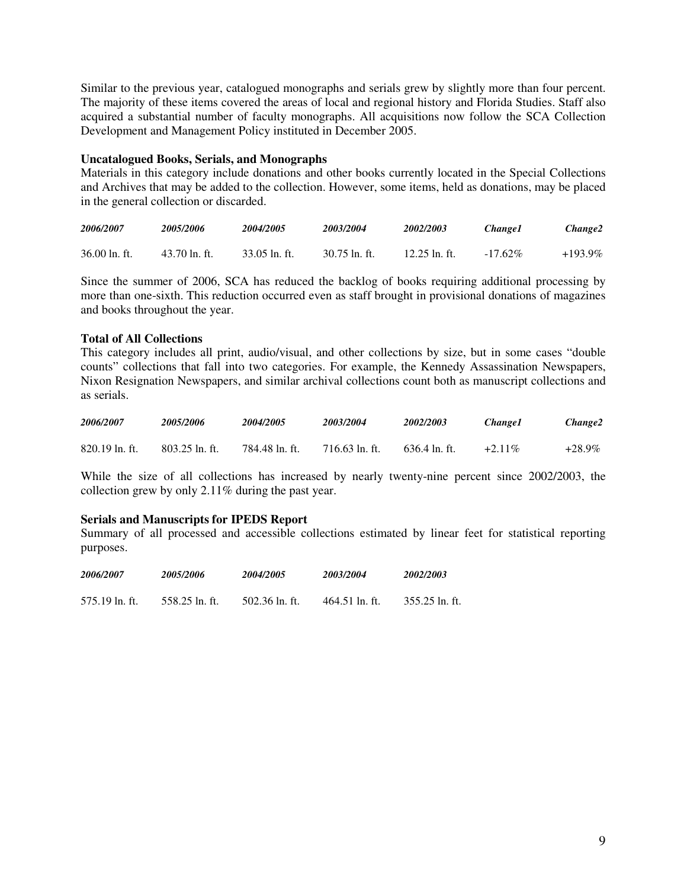Similar to the previous year, catalogued monographs and serials grew by slightly more than four percent. The majority of these items covered the areas of local and regional history and Florida Studies. Staff also acquired a substantial number of faculty monographs. All acquisitions now follow the SCA Collection Development and Management Policy instituted in December 2005.

#### **Uncatalogued Books, Serials, and Monographs**

Materials in this category include donations and other books currently located in the Special Collections and Archives that may be added to the collection. However, some items, held as donations, may be placed in the general collection or discarded.

| 2006/2007           | 2005/2006       | <i><b>2004/2005</b></i> | <i><b>2003/2004</b></i> | <i><b>2002/2003</b></i> | <i><b>Change1</b></i> | Change2    |
|---------------------|-----------------|-------------------------|-------------------------|-------------------------|-----------------------|------------|
| $36.00 \ln F$ . ft. | $43.70$ ln. ft. | $33.05$ ln. ft.         | $30.75$ ln. ft.         | $12.25$ ln. ft.         | $-17.62\%$            | $+193.9\%$ |

Since the summer of 2006, SCA has reduced the backlog of books requiring additional processing by more than one-sixth. This reduction occurred even as staff brought in provisional donations of magazines and books throughout the year.

#### **Total of All Collections**

This category includes all print, audio/visual, and other collections by size, but in some cases "double counts" collections that fall into two categories. For example, the Kennedy Assassination Newspapers, Nixon Resignation Newspapers, and similar archival collections count both as manuscript collections and as serials.

| 2006/2007        | 2005/2006        | 2004/2005      | 2003/2004        | 2002/2003           | <i>Changel</i> | Change2 |
|------------------|------------------|----------------|------------------|---------------------|----------------|---------|
| $820.19$ ln. ft. | $803.25$ ln. ft. | 784.48 ln. ft. | $716.63$ ln. ft. | $636.4 \ln f$ . ft. | $+2.11\%$      | +28.9%  |

While the size of all collections has increased by nearly twenty-nine percent since 2002/2003, the collection grew by only 2.11% during the past year.

#### **Serials and Manuscripts for IPEDS Report**

Summary of all processed and accessible collections estimated by linear feet for statistical reporting purposes.

| 2006/2007      | 2005/2006      | 2004/2005      | 2003/2004      | 2002/2003      |
|----------------|----------------|----------------|----------------|----------------|
| 575.19 ln. ft. | 558.25 ln. ft. | 502.36 ln. ft. | 464.51 ln. ft. | 355.25 ln. ft. |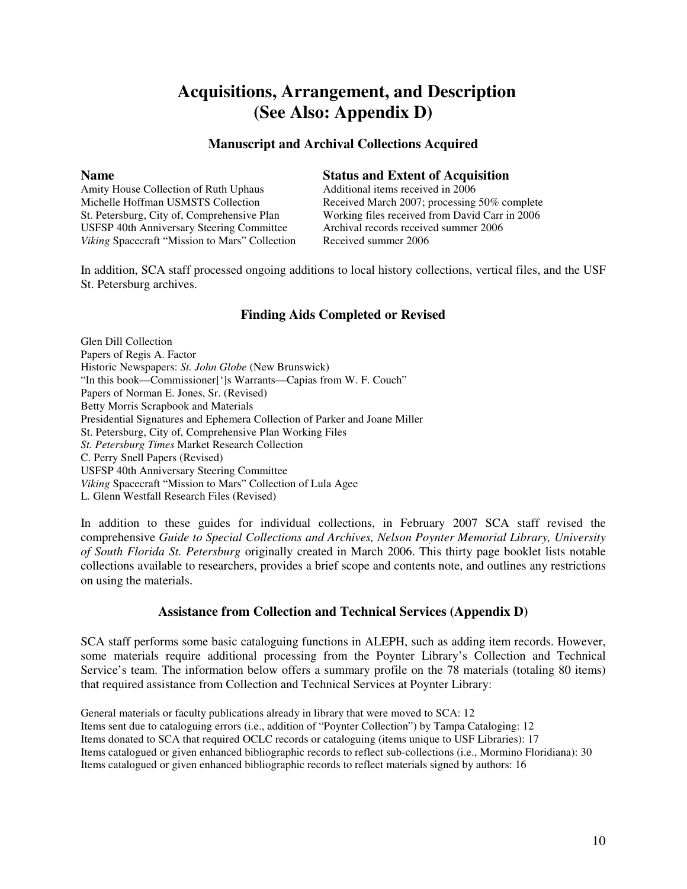## **Acquisitions, Arrangement, and Description (See Also: Appendix D)**

#### **Manuscript and Archival Collections Acquired**

**Name**<br>Amity House Collection of Ruth Uphaus<br>Additional items received in 2006 Amity House Collection of Ruth Uphaus USFSP 40th Anniversary Steering Committee Archival records receive<br>Viking Spacecraft "Mission to Mars" Collection Received summer 2006 *Viking* Spacecraft "Mission to Mars" Collection

Michelle Hoffman USMSTS Collection Received March 2007; processing 50% complete St. Petersburg, City of, Comprehensive Plan Working files received from David Carr in 2006<br>USFSP 40th Anniversary Steering Committee Archival records received summer 2006

In addition, SCA staff processed ongoing additions to local history collections, vertical files, and the USF St. Petersburg archives.

#### **Finding Aids Completed or Revised**

Glen Dill Collection Papers of Regis A. Factor Historic Newspapers: *St. John Globe* (New Brunswick) "In this book—Commissioner[']s Warrants—Capias from W. F. Couch" Papers of Norman E. Jones, Sr. (Revised) Betty Morris Scrapbook and Materials Presidential Signatures and Ephemera Collection of Parker and Joane Miller St. Petersburg, City of, Comprehensive Plan Working Files *St. Petersburg Times* Market Research Collection C. Perry Snell Papers (Revised) USFSP 40th Anniversary Steering Committee *Viking* Spacecraft "Mission to Mars" Collection of Lula Agee L. Glenn Westfall Research Files (Revised)

In addition to these guides for individual collections, in February 2007 SCA staff revised the comprehensive *Guide to Special Collections and Archives, Nelson Poynter Memorial Library, University of South Florida St. Petersburg* originally created in March 2006. This thirty page booklet lists notable collections available to researchers, provides a brief scope and contents note, and outlines any restrictions on using the materials.

#### **Assistance from Collection and Technical Services (Appendix D)**

SCA staff performs some basic cataloguing functions in ALEPH, such as adding item records. However, some materials require additional processing from the Poynter Library's Collection and Technical Service's team. The information below offers a summary profile on the 78 materials (totaling 80 items) that required assistance from Collection and Technical Services at Poynter Library:

General materials or faculty publications already in library that were moved to SCA: 12 Items sent due to cataloguing errors (i.e., addition of "Poynter Collection") by Tampa Cataloging: 12 Items donated to SCA that required OCLC records or cataloguing (items unique to USF Libraries): 17 Items catalogued or given enhanced bibliographic records to reflect sub-collections (i.e., Mormino Floridiana): 30 Items catalogued or given enhanced bibliographic records to reflect materials signed by authors: 16